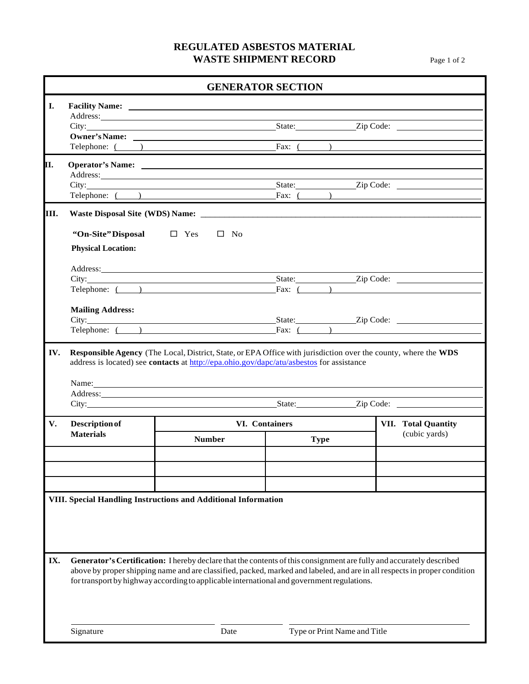## **REGULATED ASBESTOS MATERIAL WASTE SHIPMENT RECORD** Page 1 of 2

| I.<br>IV.<br>Responsible Agency (The Local, District, State, or EPA Office with jurisdiction over the county, where the WDS | Telephone: ( ) Fax: ( )<br>City: City:<br>Telephone: ( ) Fax: ( )<br>"On-Site" Disposal $\Box$ Yes<br><b>Physical Location:</b><br>Telephone: ( )<br><b>Mailing Address:</b><br>City: <u>City:</u> City: City: City: City: City: City: City: City: City: City: City: City: City: City: City: City: City: City: City: City: City: City: City: City: City: City: City: City: City: City: City: City: City: City: City                                                                                                                                                                     | $\square$ No          |  |             | City: <u>City:</u> City: City: City: City: City: City: City: City: Code: 2.5 a.c. City: Code: 2.5 a.c. City: Code: 2.5 a.c. City: Code: 2.5 a.c. City: Code: 2.5 a.c. City: Code: 2.5 a.c. City: Code: 2.5 a.c. City: City: City: C<br>State: <u>Zip Code:</u><br>State: <u>Zip Code:</u>                                                                                                                            |  |
|-----------------------------------------------------------------------------------------------------------------------------|-----------------------------------------------------------------------------------------------------------------------------------------------------------------------------------------------------------------------------------------------------------------------------------------------------------------------------------------------------------------------------------------------------------------------------------------------------------------------------------------------------------------------------------------------------------------------------------------|-----------------------|--|-------------|----------------------------------------------------------------------------------------------------------------------------------------------------------------------------------------------------------------------------------------------------------------------------------------------------------------------------------------------------------------------------------------------------------------------|--|
|                                                                                                                             |                                                                                                                                                                                                                                                                                                                                                                                                                                                                                                                                                                                         |                       |  |             |                                                                                                                                                                                                                                                                                                                                                                                                                      |  |
|                                                                                                                             |                                                                                                                                                                                                                                                                                                                                                                                                                                                                                                                                                                                         |                       |  |             |                                                                                                                                                                                                                                                                                                                                                                                                                      |  |
|                                                                                                                             |                                                                                                                                                                                                                                                                                                                                                                                                                                                                                                                                                                                         |                       |  |             |                                                                                                                                                                                                                                                                                                                                                                                                                      |  |
| П.                                                                                                                          |                                                                                                                                                                                                                                                                                                                                                                                                                                                                                                                                                                                         |                       |  |             |                                                                                                                                                                                                                                                                                                                                                                                                                      |  |
|                                                                                                                             |                                                                                                                                                                                                                                                                                                                                                                                                                                                                                                                                                                                         |                       |  |             |                                                                                                                                                                                                                                                                                                                                                                                                                      |  |
|                                                                                                                             |                                                                                                                                                                                                                                                                                                                                                                                                                                                                                                                                                                                         |                       |  |             |                                                                                                                                                                                                                                                                                                                                                                                                                      |  |
| Ш.                                                                                                                          |                                                                                                                                                                                                                                                                                                                                                                                                                                                                                                                                                                                         |                       |  |             |                                                                                                                                                                                                                                                                                                                                                                                                                      |  |
|                                                                                                                             |                                                                                                                                                                                                                                                                                                                                                                                                                                                                                                                                                                                         |                       |  |             |                                                                                                                                                                                                                                                                                                                                                                                                                      |  |
|                                                                                                                             |                                                                                                                                                                                                                                                                                                                                                                                                                                                                                                                                                                                         |                       |  |             |                                                                                                                                                                                                                                                                                                                                                                                                                      |  |
|                                                                                                                             |                                                                                                                                                                                                                                                                                                                                                                                                                                                                                                                                                                                         |                       |  |             |                                                                                                                                                                                                                                                                                                                                                                                                                      |  |
|                                                                                                                             |                                                                                                                                                                                                                                                                                                                                                                                                                                                                                                                                                                                         |                       |  |             |                                                                                                                                                                                                                                                                                                                                                                                                                      |  |
|                                                                                                                             |                                                                                                                                                                                                                                                                                                                                                                                                                                                                                                                                                                                         |                       |  |             |                                                                                                                                                                                                                                                                                                                                                                                                                      |  |
|                                                                                                                             |                                                                                                                                                                                                                                                                                                                                                                                                                                                                                                                                                                                         |                       |  |             |                                                                                                                                                                                                                                                                                                                                                                                                                      |  |
|                                                                                                                             |                                                                                                                                                                                                                                                                                                                                                                                                                                                                                                                                                                                         |                       |  |             | Fax: $($ $)$                                                                                                                                                                                                                                                                                                                                                                                                         |  |
|                                                                                                                             |                                                                                                                                                                                                                                                                                                                                                                                                                                                                                                                                                                                         |                       |  |             |                                                                                                                                                                                                                                                                                                                                                                                                                      |  |
|                                                                                                                             |                                                                                                                                                                                                                                                                                                                                                                                                                                                                                                                                                                                         |                       |  |             |                                                                                                                                                                                                                                                                                                                                                                                                                      |  |
|                                                                                                                             |                                                                                                                                                                                                                                                                                                                                                                                                                                                                                                                                                                                         |                       |  |             | Telephone: $\overline{ }$ $\overline{ }$ $\overline{ }$ $\overline{ }$ $\overline{ }$ $\overline{ }$ $\overline{ }$ $\overline{ }$ $\overline{ }$ $\overline{ }$ $\overline{ }$ $\overline{ }$ $\overline{ }$ $\overline{ }$ $\overline{ }$ $\overline{ }$ $\overline{ }$ $\overline{ }$ $\overline{ }$ $\overline{ }$ $\overline{ }$ $\overline{ }$ $\overline{ }$ $\overline{ }$ $\overline{ }$ $\overline{ }$ $\$ |  |
|                                                                                                                             | Name: Name and the same of the same of the same of the same of the same of the same of the same of the same of the same of the same of the same of the same of the same of the same of the same of the same of the same of the<br>Address: 1988 and 1988 and 1988 and 1988 and 1988 and 1988 and 1988 and 1988 and 1988 and 1988 and 1988 and 19<br>City: <u>City:</u> City: 2ip Code: 2ip Code: 2ip Code: 2ip Code: 2ip Code: 2ip Code: 2ip Code: 2ip Code: 2ip Code: 2ip Code: 2ip Code: 2ip Code: 2ip Code: 2ip Code: 2ip Code: 2ip Code: 2ip Code: 2ip Code: 2ip Code: 2ip Code: 2i |                       |  |             |                                                                                                                                                                                                                                                                                                                                                                                                                      |  |
| V.                                                                                                                          | <b>Description of</b>                                                                                                                                                                                                                                                                                                                                                                                                                                                                                                                                                                   | <b>VI.</b> Containers |  |             | <b>VII.</b> Total Quantity                                                                                                                                                                                                                                                                                                                                                                                           |  |
|                                                                                                                             | <b>Materials</b>                                                                                                                                                                                                                                                                                                                                                                                                                                                                                                                                                                        | <b>Number</b>         |  | <b>Type</b> | (cubic yards)                                                                                                                                                                                                                                                                                                                                                                                                        |  |
|                                                                                                                             |                                                                                                                                                                                                                                                                                                                                                                                                                                                                                                                                                                                         |                       |  |             |                                                                                                                                                                                                                                                                                                                                                                                                                      |  |
|                                                                                                                             |                                                                                                                                                                                                                                                                                                                                                                                                                                                                                                                                                                                         |                       |  |             |                                                                                                                                                                                                                                                                                                                                                                                                                      |  |
|                                                                                                                             |                                                                                                                                                                                                                                                                                                                                                                                                                                                                                                                                                                                         |                       |  |             |                                                                                                                                                                                                                                                                                                                                                                                                                      |  |
| IX.                                                                                                                         | VIII. Special Handling Instructions and Additional Information                                                                                                                                                                                                                                                                                                                                                                                                                                                                                                                          |                       |  |             | Generator's Certification: I hereby declare that the contents of this consignment are fully and accurately described<br>above by proper shipping name and are classified, packed, marked and labeled, and are in all respects in proper condition                                                                                                                                                                    |  |
|                                                                                                                             | for transport by highway according to applicable international and government regulations.                                                                                                                                                                                                                                                                                                                                                                                                                                                                                              |                       |  |             |                                                                                                                                                                                                                                                                                                                                                                                                                      |  |